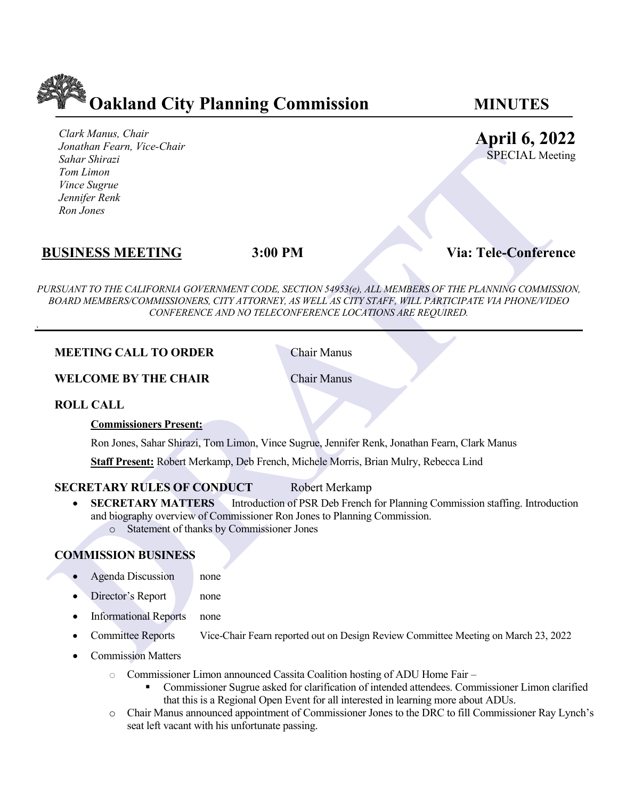

*Clark Manus, Chair Jonathan Fearn, Vice-Chair Sahar Shirazi Tom Limon Vince Sugrue Jennifer Renk Ron Jones* 

# **April 6, 2022**

SPECIAL Meeting

# **BUSINESS MEETING 3:00 PM Via: Tele-Conference**

**FIGURE THE CRIMINAL CONDUCT**<br>
The Shear Shering is the Chair Figure of the Conference<br>
DRAFT Shear Shering Reserves For the SPECIAL Meeting Process For the SPECIAL Meeting Process For the Conference<br>
DRAFT NOS BOARD MEMBE *PURSUANT TO THE CALIFORNIA GOVERNMENT CODE, SECTION 54953(e), ALL MEMBERS OF THE PLANNING COMMISSION, BOARD MEMBERS/COMMISSIONERS, CITY ATTORNEY, AS WELL AS CITY STAFF, WILL PARTICIPATE VIA PHONE/VIDEO CONFERENCE AND NO TELECONFERENCE LOCATIONS ARE REQUIRED.*

### **MEETING CALL TO ORDER** Chair Manus

**WELCOME BY THE CHAIR Chair Manus** 

### **ROLL CALL**

.

#### **Commissioners Present:**

Ron Jones, Sahar Shirazi, Tom Limon, Vince Sugrue, Jennifer Renk, Jonathan Fearn, Clark Manus

**Staff Present:** Robert Merkamp, Deb French, Michele Morris, Brian Mulry, Rebecca Lind

### **SECRETARY RULES OF CONDUCT** Robert Merkamp

**SECRETARY MATTERS** Introduction of PSR Deb French for Planning Commission staffing. Introduction and biography overview of Commissioner Ron Jones to Planning Commission. o Statement of thanks by Commissioner Jones

## **COMMISSION BUSINESS**

- Agenda Discussion none
- Director's Report none
- Informational Reports none
- Committee Reports Vice-Chair Fearn reported out on Design Review Committee Meeting on March 23, 2022
- Commission Matters
	- o Commissioner Limon announced Cassita Coalition hosting of ADU Home Fair
		- Commissioner Sugrue asked for clarification of intended attendees. Commissioner Limon clarified that this is a Regional Open Event for all interested in learning more about ADUs.
	- o Chair Manus announced appointment of Commissioner Jones to the DRC to fill Commissioner Ray Lynch's seat left vacant with his unfortunate passing.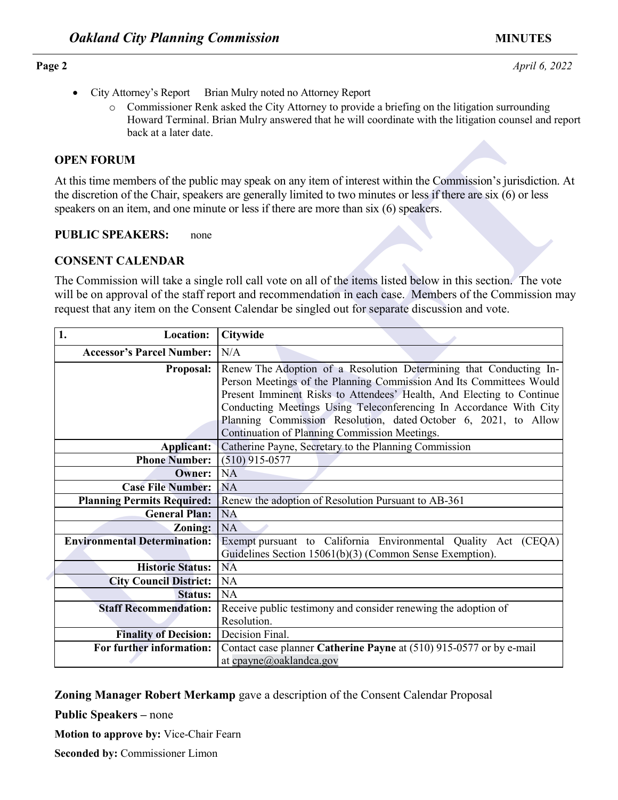- City Attorney's Report Brian Mulry noted no Attorney Report
	- o Commissioner Renk asked the City Attorney to provide a briefing on the litigation surrounding Howard Terminal. Brian Mulry answered that he will coordinate with the litigation counsel and report back at a later date.

### **OPEN FORUM**

### **PUBLIC SPEAKERS:** none

### **CONSENT CALENDAR**

| <b>OPEN FORUM</b>                   |                                                                                                                                                                                                                                                                                                                                                                                                              |
|-------------------------------------|--------------------------------------------------------------------------------------------------------------------------------------------------------------------------------------------------------------------------------------------------------------------------------------------------------------------------------------------------------------------------------------------------------------|
|                                     | At this time members of the public may speak on any item of interest within the Commission's jurisdiction. A<br>the discretion of the Chair, speakers are generally limited to two minutes or less if there are six (6) or less<br>speakers on an item, and one minute or less if there are more than six (6) speakers.                                                                                      |
| <b>PUBLIC SPEAKERS:</b><br>none     |                                                                                                                                                                                                                                                                                                                                                                                                              |
| <b>CONSENT CALENDAR</b>             |                                                                                                                                                                                                                                                                                                                                                                                                              |
|                                     | The Commission will take a single roll call vote on all of the items listed below in this section. The vote<br>will be on approval of the staff report and recommendation in each case. Members of the Commission ma<br>request that any item on the Consent Calendar be singled out for separate discussion and vote.                                                                                       |
| Location:<br>1.                     | <b>Citywide</b>                                                                                                                                                                                                                                                                                                                                                                                              |
| <b>Accessor's Parcel Number:</b>    | N/A                                                                                                                                                                                                                                                                                                                                                                                                          |
| <b>Proposal:</b>                    | Renew The Adoption of a Resolution Determining that Conducting In-<br>Person Meetings of the Planning Commission And Its Committees Would<br>Present Imminent Risks to Attendees' Health, And Electing to Continue<br>Conducting Meetings Using Teleconferencing In Accordance With City<br>Planning Commission Resolution, dated October 6, 2021, to Allow<br>Continuation of Planning Commission Meetings. |
| <b>Applicant:</b>                   | Catherine Payne, Secretary to the Planning Commission                                                                                                                                                                                                                                                                                                                                                        |
| <b>Phone Number:</b>                | $(510)$ 915-0577                                                                                                                                                                                                                                                                                                                                                                                             |
| Owner:                              | <b>NA</b>                                                                                                                                                                                                                                                                                                                                                                                                    |
| <b>Case File Number:</b>            | <b>NA</b>                                                                                                                                                                                                                                                                                                                                                                                                    |
| <b>Planning Permits Required:</b>   | Renew the adoption of Resolution Pursuant to AB-361                                                                                                                                                                                                                                                                                                                                                          |
| <b>General Plan:</b>                | <b>NA</b>                                                                                                                                                                                                                                                                                                                                                                                                    |
| Zoning:                             | NA                                                                                                                                                                                                                                                                                                                                                                                                           |
| <b>Environmental Determination:</b> | Exempt pursuant to California Environmental Quality Act (CEQA)<br>Guidelines Section 15061(b)(3) (Common Sense Exemption).                                                                                                                                                                                                                                                                                   |
| <b>Historic Status:</b>             | <b>NA</b>                                                                                                                                                                                                                                                                                                                                                                                                    |
| <b>City Council District:</b>       | <b>NA</b>                                                                                                                                                                                                                                                                                                                                                                                                    |
| <b>Status:</b>                      | <b>NA</b>                                                                                                                                                                                                                                                                                                                                                                                                    |
| <b>Staff Recommendation:</b>        | Receive public testimony and consider renewing the adoption of<br>Resolution.                                                                                                                                                                                                                                                                                                                                |
| <b>Finality of Decision:</b>        | Decision Final.                                                                                                                                                                                                                                                                                                                                                                                              |
| For further information:            | Contact case planner Catherine Payne at (510) 915-0577 or by e-mail<br>at cpayne@oaklandca.gov                                                                                                                                                                                                                                                                                                               |

**Zoning Manager Robert Merkamp** gave a description of the Consent Calendar Proposal

**Public Speakers –** none

**Motion to approve by:** Vice-Chair Fearn

**Seconded by:** Commissioner Limon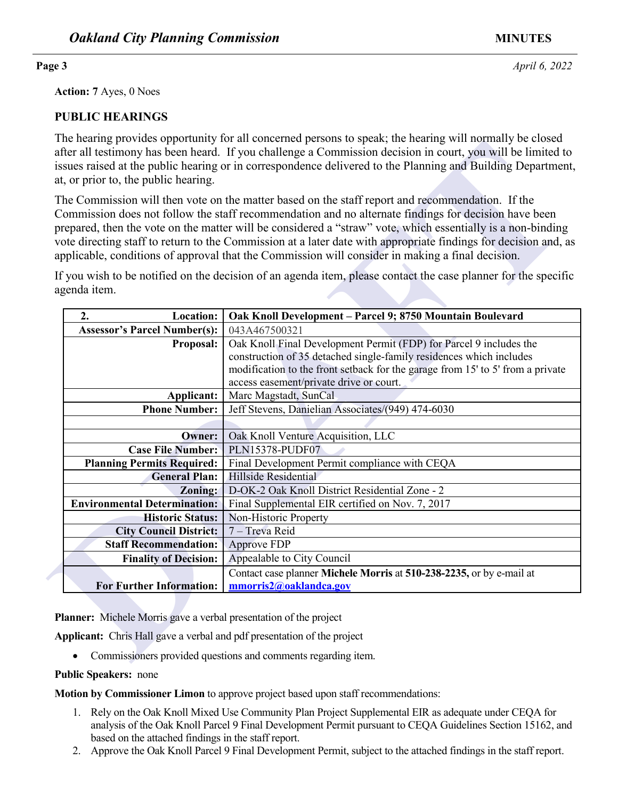**Action: 7** Ayes, 0 Noes

### **PUBLIC HEARINGS**

The hearing provides opportunity for all concerned persons to speak; the hearing will normally be closed after all testimony has been heard. If you challenge a Commission decision in court, you will be limited to issues raised at the public hearing or in correspondence delivered to the Planning and Building Department, at, or prior to, the public hearing.

| The nearing provides opportunity for an concerned persons to speak, the nearing will hormany oc closed<br>after all testimony has been heard. If you challenge a Commission decision in court, you will be limited to<br>issues raised at the public hearing or in correspondence delivered to the Planning and Building Department,<br>at, or prior to, the public hearing. |                                                                                                                                                                                                                                                                                                                                                                                                                                                                                                                                                |  |
|------------------------------------------------------------------------------------------------------------------------------------------------------------------------------------------------------------------------------------------------------------------------------------------------------------------------------------------------------------------------------|------------------------------------------------------------------------------------------------------------------------------------------------------------------------------------------------------------------------------------------------------------------------------------------------------------------------------------------------------------------------------------------------------------------------------------------------------------------------------------------------------------------------------------------------|--|
|                                                                                                                                                                                                                                                                                                                                                                              | The Commission will then vote on the matter based on the staff report and recommendation. If the<br>Commission does not follow the staff recommendation and no alternate findings for decision have been<br>prepared, then the vote on the matter will be considered a "straw" vote, which essentially is a non-binding<br>vote directing staff to return to the Commission at a later date with appropriate findings for decision and, as<br>applicable, conditions of approval that the Commission will consider in making a final decision. |  |
| If you wish to be notified on the decision of an agenda item, please contact the case planner for the specific<br>agenda item.                                                                                                                                                                                                                                               |                                                                                                                                                                                                                                                                                                                                                                                                                                                                                                                                                |  |
| 2.<br>Location:                                                                                                                                                                                                                                                                                                                                                              | Oak Knoll Development - Parcel 9; 8750 Mountain Boulevard                                                                                                                                                                                                                                                                                                                                                                                                                                                                                      |  |
| <b>Assessor's Parcel Number(s):</b>                                                                                                                                                                                                                                                                                                                                          | 043A467500321                                                                                                                                                                                                                                                                                                                                                                                                                                                                                                                                  |  |
| Proposal:                                                                                                                                                                                                                                                                                                                                                                    | Oak Knoll Final Development Permit (FDP) for Parcel 9 includes the                                                                                                                                                                                                                                                                                                                                                                                                                                                                             |  |
|                                                                                                                                                                                                                                                                                                                                                                              | construction of 35 detached single-family residences which includes                                                                                                                                                                                                                                                                                                                                                                                                                                                                            |  |
|                                                                                                                                                                                                                                                                                                                                                                              | modification to the front setback for the garage from 15' to 5' from a private                                                                                                                                                                                                                                                                                                                                                                                                                                                                 |  |
|                                                                                                                                                                                                                                                                                                                                                                              | access easement/private drive or court.<br>Marc Magstadt, SunCal                                                                                                                                                                                                                                                                                                                                                                                                                                                                               |  |
| Applicant:<br><b>Phone Number:</b>                                                                                                                                                                                                                                                                                                                                           | Jeff Stevens, Danielian Associates/(949) 474-6030                                                                                                                                                                                                                                                                                                                                                                                                                                                                                              |  |
|                                                                                                                                                                                                                                                                                                                                                                              |                                                                                                                                                                                                                                                                                                                                                                                                                                                                                                                                                |  |
| <b>Owner:</b>                                                                                                                                                                                                                                                                                                                                                                | Oak Knoll Venture Acquisition, LLC                                                                                                                                                                                                                                                                                                                                                                                                                                                                                                             |  |
| <b>Case File Number:</b>                                                                                                                                                                                                                                                                                                                                                     | PLN15378-PUDF07                                                                                                                                                                                                                                                                                                                                                                                                                                                                                                                                |  |
| <b>Planning Permits Required:</b>                                                                                                                                                                                                                                                                                                                                            | Final Development Permit compliance with CEQA                                                                                                                                                                                                                                                                                                                                                                                                                                                                                                  |  |
| <b>General Plan:</b>                                                                                                                                                                                                                                                                                                                                                         | Hillside Residential                                                                                                                                                                                                                                                                                                                                                                                                                                                                                                                           |  |
| Zoning:                                                                                                                                                                                                                                                                                                                                                                      | D-OK-2 Oak Knoll District Residential Zone - 2                                                                                                                                                                                                                                                                                                                                                                                                                                                                                                 |  |
| <b>Environmental Determination:</b>                                                                                                                                                                                                                                                                                                                                          | Final Supplemental EIR certified on Nov. 7, 2017                                                                                                                                                                                                                                                                                                                                                                                                                                                                                               |  |
| <b>Historic Status:</b>                                                                                                                                                                                                                                                                                                                                                      | Non-Historic Property                                                                                                                                                                                                                                                                                                                                                                                                                                                                                                                          |  |
| <b>City Council District:</b>                                                                                                                                                                                                                                                                                                                                                | 7 - Treva Reid                                                                                                                                                                                                                                                                                                                                                                                                                                                                                                                                 |  |
| <b>Staff Recommendation:</b>                                                                                                                                                                                                                                                                                                                                                 | Approve FDP                                                                                                                                                                                                                                                                                                                                                                                                                                                                                                                                    |  |
| <b>Finality of Decision:</b>                                                                                                                                                                                                                                                                                                                                                 | Appealable to City Council                                                                                                                                                                                                                                                                                                                                                                                                                                                                                                                     |  |
|                                                                                                                                                                                                                                                                                                                                                                              | Contact case planner Michele Morris at 510-238-2235, or by e-mail at                                                                                                                                                                                                                                                                                                                                                                                                                                                                           |  |
| <b>For Further Information:</b>                                                                                                                                                                                                                                                                                                                                              | mmorris2@oaklandca.gov                                                                                                                                                                                                                                                                                                                                                                                                                                                                                                                         |  |
|                                                                                                                                                                                                                                                                                                                                                                              |                                                                                                                                                                                                                                                                                                                                                                                                                                                                                                                                                |  |
| <b>Planner:</b> Michele Morris gave a verbal presentation of the project                                                                                                                                                                                                                                                                                                     |                                                                                                                                                                                                                                                                                                                                                                                                                                                                                                                                                |  |
| Applicant: Chris Hall gave a verbal and pdf presentation of the project                                                                                                                                                                                                                                                                                                      |                                                                                                                                                                                                                                                                                                                                                                                                                                                                                                                                                |  |
| Commissioners provided questions and comments regarding item.                                                                                                                                                                                                                                                                                                                |                                                                                                                                                                                                                                                                                                                                                                                                                                                                                                                                                |  |

**Public Speakers:** none

**Motion by Commissioner Limon** to approve project based upon staff recommendations:

- 1. Rely on the Oak Knoll Mixed Use Community Plan Project Supplemental EIR as adequate under CEQA for analysis of the Oak Knoll Parcel 9 Final Development Permit pursuant to CEQA Guidelines Section 15162, and based on the attached findings in the staff report.
- 2. Approve the Oak Knoll Parcel 9 Final Development Permit, subject to the attached findings in the staff report.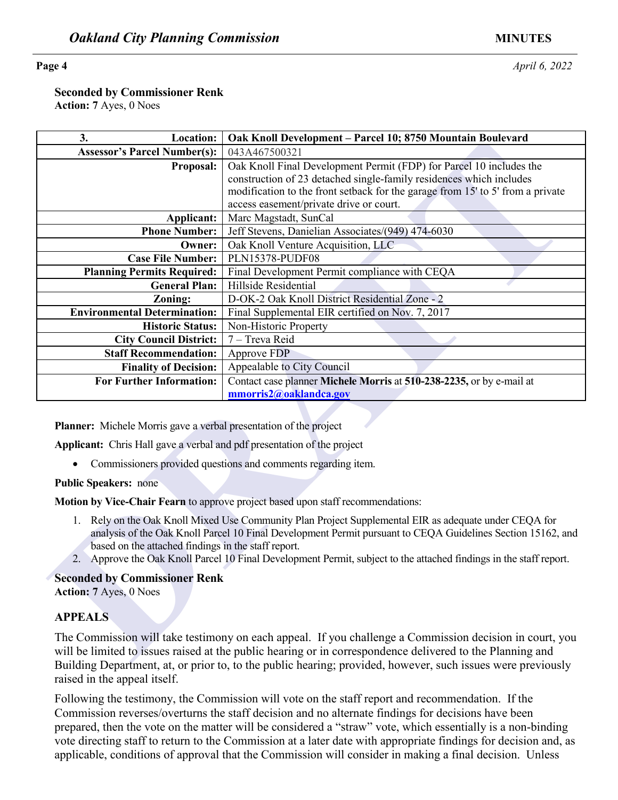**Page 4** *April 6, 2022* 

**Seconded by Commissioner Renk**

**Action: 7** Ayes, 0 Noes

| 3.<br>Location:                                                                                                                                                                                                                                                                                                                                                                                   | Oak Knoll Development - Parcel 10; 8750 Mountain Boulevard                     |
|---------------------------------------------------------------------------------------------------------------------------------------------------------------------------------------------------------------------------------------------------------------------------------------------------------------------------------------------------------------------------------------------------|--------------------------------------------------------------------------------|
| <b>Assessor's Parcel Number(s):</b>                                                                                                                                                                                                                                                                                                                                                               | 043A467500321                                                                  |
| Proposal:                                                                                                                                                                                                                                                                                                                                                                                         | Oak Knoll Final Development Permit (FDP) for Parcel 10 includes the            |
|                                                                                                                                                                                                                                                                                                                                                                                                   | construction of 23 detached single-family residences which includes            |
|                                                                                                                                                                                                                                                                                                                                                                                                   | modification to the front setback for the garage from 15' to 5' from a private |
|                                                                                                                                                                                                                                                                                                                                                                                                   | access easement/private drive or court.                                        |
| <b>Applicant:</b>                                                                                                                                                                                                                                                                                                                                                                                 | Marc Magstadt, SunCal                                                          |
| <b>Phone Number:</b>                                                                                                                                                                                                                                                                                                                                                                              | Jeff Stevens, Danielian Associates/(949) 474-6030                              |
| Owner:                                                                                                                                                                                                                                                                                                                                                                                            | Oak Knoll Venture Acquisition, LLC                                             |
| <b>Case File Number:</b>                                                                                                                                                                                                                                                                                                                                                                          | PLN15378-PUDF08                                                                |
| <b>Planning Permits Required:</b>                                                                                                                                                                                                                                                                                                                                                                 | Final Development Permit compliance with CEQA                                  |
| <b>General Plan:</b>                                                                                                                                                                                                                                                                                                                                                                              | Hillside Residential                                                           |
| Zoning:                                                                                                                                                                                                                                                                                                                                                                                           | D-OK-2 Oak Knoll District Residential Zone - 2                                 |
| <b>Environmental Determination:</b>                                                                                                                                                                                                                                                                                                                                                               | Final Supplemental EIR certified on Nov. 7, 2017                               |
| <b>Historic Status:</b>                                                                                                                                                                                                                                                                                                                                                                           | Non-Historic Property                                                          |
| <b>City Council District:</b>                                                                                                                                                                                                                                                                                                                                                                     | 7 - Treva Reid                                                                 |
| <b>Staff Recommendation:</b>                                                                                                                                                                                                                                                                                                                                                                      | Approve FDP                                                                    |
| <b>Finality of Decision:</b>                                                                                                                                                                                                                                                                                                                                                                      | Appealable to City Council                                                     |
| <b>For Further Information:</b>                                                                                                                                                                                                                                                                                                                                                                   | Contact case planner Michele Morris at 510-238-2235, or by e-mail at           |
|                                                                                                                                                                                                                                                                                                                                                                                                   | mmorris2@oaklandca.gov                                                         |
| <b>Planner:</b> Michele Morris gave a verbal presentation of the project                                                                                                                                                                                                                                                                                                                          |                                                                                |
| Applicant: Chris Hall gave a verbal and pdf presentation of the project                                                                                                                                                                                                                                                                                                                           |                                                                                |
| Commissioners provided questions and comments regarding item.                                                                                                                                                                                                                                                                                                                                     |                                                                                |
| <b>Public Speakers: none</b>                                                                                                                                                                                                                                                                                                                                                                      |                                                                                |
| Motion by Vice-Chair Fearn to approve project based upon staff recommendations:                                                                                                                                                                                                                                                                                                                   |                                                                                |
| 1. Rely on the Oak Knoll Mixed Use Community Plan Project Supplemental EIR as adequate under CEQA for<br>analysis of the Oak Knoll Parcel 10 Final Development Permit pursuant to CEQA Guidelines Section 15162, and<br>based on the attached findings in the staff report.<br>2. Approve the Oak Knoll Parcel 10 Final Development Permit, subject to the attached findings in the staff report. |                                                                                |
| <b>Seconded by Commissioner Renk</b><br>Action: 7 Ayes, 0 Noes                                                                                                                                                                                                                                                                                                                                    |                                                                                |
|                                                                                                                                                                                                                                                                                                                                                                                                   |                                                                                |
| <b>APPEALS</b>                                                                                                                                                                                                                                                                                                                                                                                    |                                                                                |

- 1. Rely on the Oak Knoll Mixed Use Community Plan Project Supplemental EIR as adequate under CEQA for analysis of the Oak Knoll Parcel 10 Final Development Permit pursuant to CEQA Guidelines Section 15162, and based on the attached findings in the staff report.
- 2. Approve the Oak Knoll Parcel 10 Final Development Permit, subject to the attached findings in the staff report.

### **Seconded by Commissioner Renk**

### **APPEALS**

The Commission will take testimony on each appeal. If you challenge a Commission decision in court, you will be limited to issues raised at the public hearing or in correspondence delivered to the Planning and Building Department, at, or prior to, to the public hearing; provided, however, such issues were previously raised in the appeal itself.

Following the testimony, the Commission will vote on the staff report and recommendation. If the Commission reverses/overturns the staff decision and no alternate findings for decisions have been prepared, then the vote on the matter will be considered a "straw" vote, which essentially is a non-binding vote directing staff to return to the Commission at a later date with appropriate findings for decision and, as applicable, conditions of approval that the Commission will consider in making a final decision. Unless